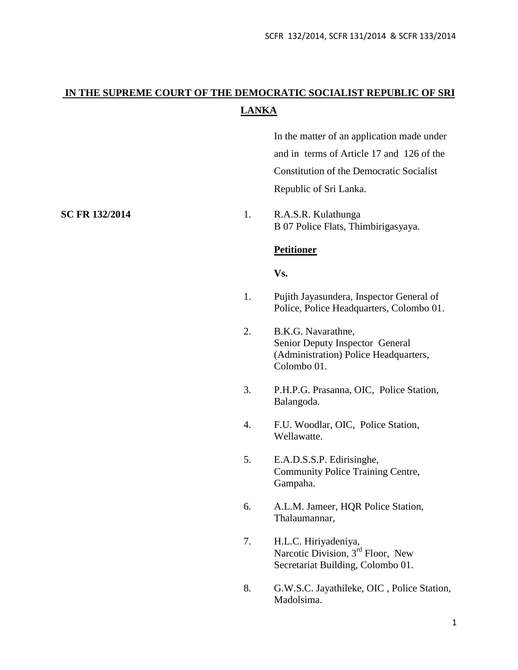# **IN THE SUPREME COURT OF THE DEMOCRATIC SOCIALIST REPUBLIC OF SRI LANKA**

In the matter of an application made under and in terms of Article 17 and 126 of the Constitution of the Democratic Socialist Republic of Sri Lanka.

**SC FR 132/2014** 1. R.A.S.R. Kulathunga B 07 Police Flats, Thimbirigasyaya.

# **Petitioner**

# **Vs.**

- 1. Pujith Jayasundera, Inspector General of Police, Police Headquarters, Colombo 01.
- 2. B.K.G. Navarathne, Senior Deputy Inspector General (Administration) Police Headquarters, Colombo 01.
- 3. P.H.P.G. Prasanna, OIC, Police Station, Balangoda.
- 4. F.U. Woodlar, OIC, Police Station, Wellawatte.
- 5. E.A.D.S.S.P. Edirisinghe, Community Police Training Centre, Gampaha.
- 6. A.L.M. Jameer, HQR Police Station, Thalaumannar,
- 7. H.L.C. Hiriyadeniya, Narcotic Division, 3<sup>rd</sup> Floor, New Secretariat Building, Colombo 01.
- 8. G.W.S.C. Jayathileke, OIC , Police Station, Madolsima.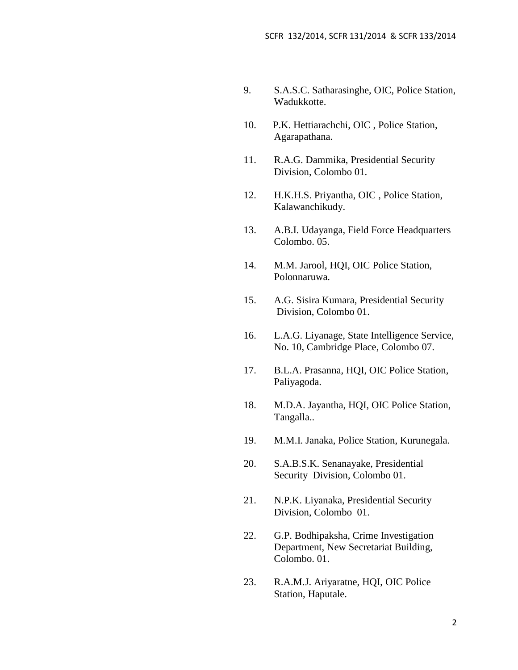- 9. S.A.S.C. Satharasinghe, OIC, Police Station, Wadukkotte.
- 10. P.K. Hettiarachchi, OIC , Police Station, Agarapathana.
- 11. R.A.G. Dammika, Presidential Security Division, Colombo 01.
- 12. H.K.H.S. Priyantha, OIC , Police Station, Kalawanchikudy.
- 13. A.B.I. Udayanga, Field Force Headquarters Colombo. 05.
- 14. M.M. Jarool, HQI, OIC Police Station, Polonnaruwa.
- 15. A.G. Sisira Kumara, Presidential Security Division, Colombo 01.
- 16. L.A.G. Liyanage, State Intelligence Service, No. 10, Cambridge Place, Colombo 07.
- 17. B.L.A. Prasanna, HQI, OIC Police Station, Paliyagoda.
- 18. M.D.A. Jayantha, HQI, OIC Police Station, Tangalla..
- 19. M.M.I. Janaka, Police Station, Kurunegala.
- 20. S.A.B.S.K. Senanayake, Presidential Security Division, Colombo 01.
- 21. N.P.K. Liyanaka, Presidential Security Division, Colombo 01.
- 22. G.P. Bodhipaksha, Crime Investigation Department, New Secretariat Building, Colombo. 01.
- 23. R.A.M.J. Ariyaratne, HQI, OIC Police Station, Haputale.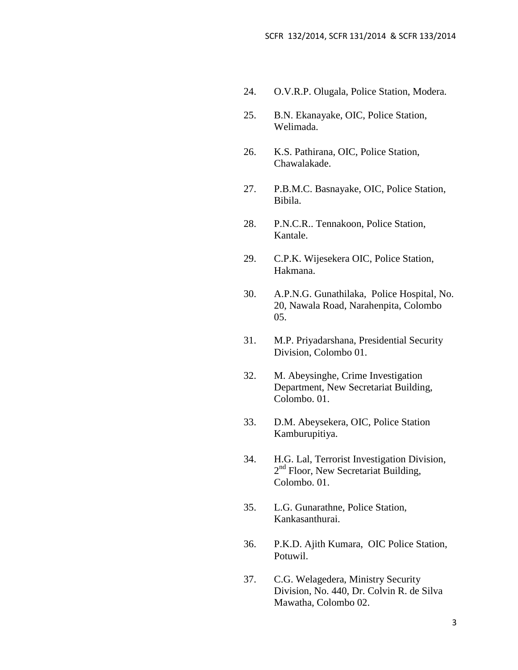- 24. O.V.R.P. Olugala, Police Station, Modera.
- 25. B.N. Ekanayake, OIC, Police Station, Welimada.
- 26. K.S. Pathirana, OIC, Police Station, Chawalakade.
- 27. P.B.M.C. Basnayake, OIC, Police Station, Bibila.
- 28. P.N.C.R.. Tennakoon, Police Station, Kantale.
- 29. C.P.K. Wijesekera OIC, Police Station, Hakmana.
- 30. A.P.N.G. Gunathilaka, Police Hospital, No. 20, Nawala Road, Narahenpita, Colombo 05.
- 31. M.P. Priyadarshana, Presidential Security Division, Colombo 01.
- 32. M. Abeysinghe, Crime Investigation Department, New Secretariat Building, Colombo. 01.
- 33. D.M. Abeysekera, OIC, Police Station Kamburupitiya.
- 34. H.G. Lal, Terrorist Investigation Division, 2<sup>nd</sup> Floor, New Secretariat Building, Colombo. 01.
- 35. L.G. Gunarathne, Police Station, Kankasanthurai.
- 36. P.K.D. Ajith Kumara, OIC Police Station, Potuwil.
- 37. C.G. Welagedera, Ministry Security Division, No. 440, Dr. Colvin R. de Silva Mawatha, Colombo 02.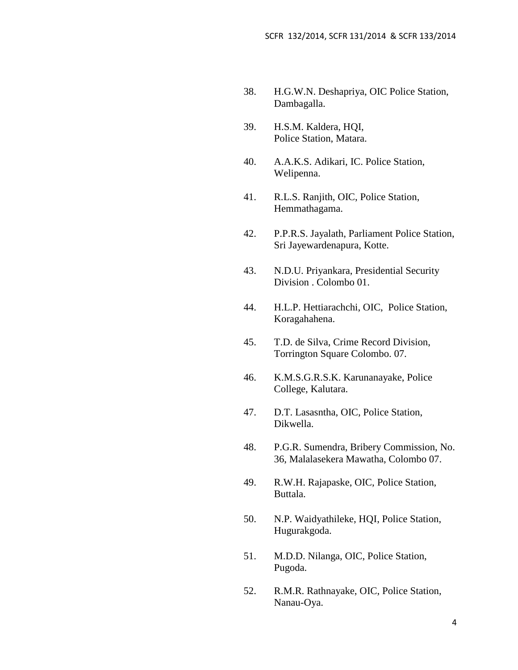- 38. H.G.W.N. Deshapriya, OIC Police Station, Dambagalla.
- 39. H.S.M. Kaldera, HQI, Police Station, Matara.
- 40. A.A.K.S. Adikari, IC. Police Station, Welipenna.
- 41. R.L.S. Ranjith, OIC, Police Station, Hemmathagama.
- 42. P.P.R.S. Jayalath, Parliament Police Station, Sri Jayewardenapura, Kotte.
- 43. N.D.U. Priyankara, Presidential Security Division . Colombo 01.
- 44. H.L.P. Hettiarachchi, OIC, Police Station, Koragahahena.
- 45. T.D. de Silva, Crime Record Division, Torrington Square Colombo. 07.
- 46. K.M.S.G.R.S.K. Karunanayake, Police College, Kalutara.
- 47. D.T. Lasasntha, OIC, Police Station, Dikwella.
- 48. P.G.R. Sumendra, Bribery Commission, No. 36, Malalasekera Mawatha, Colombo 07.
- 49. R.W.H. Rajapaske, OIC, Police Station, Buttala.
- 50. N.P. Waidyathileke, HQI, Police Station, Hugurakgoda.
- 51. M.D.D. Nilanga, OIC, Police Station, Pugoda.
- 52. R.M.R. Rathnayake, OIC, Police Station, Nanau-Oya.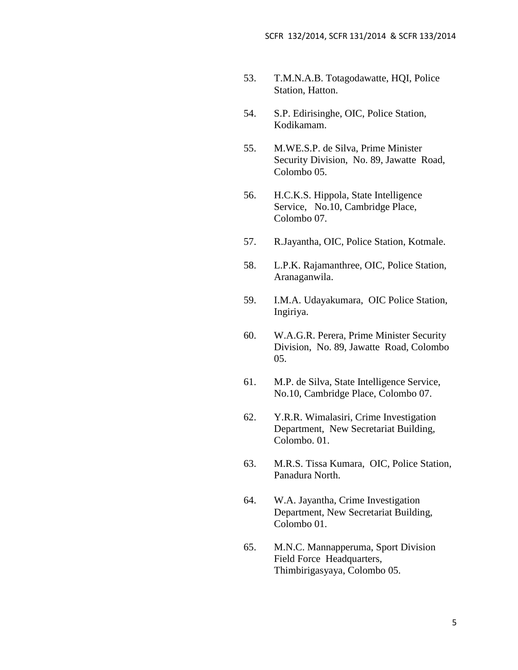- 53. T.M.N.A.B. Totagodawatte, HQI, Police Station, Hatton.
- 54. S.P. Edirisinghe, OIC, Police Station, Kodikamam.
- 55. M.WE.S.P. de Silva, Prime Minister Security Division, No. 89, Jawatte Road, Colombo 05.
- 56. H.C.K.S. Hippola, State Intelligence Service, No.10, Cambridge Place, Colombo 07.
- 57. R.Jayantha, OIC, Police Station, Kotmale.
- 58. L.P.K. Rajamanthree, OIC, Police Station, Aranaganwila.
- 59. I.M.A. Udayakumara, OIC Police Station, Ingiriya.
- 60. W.A.G.R. Perera, Prime Minister Security Division, No. 89, Jawatte Road, Colombo 05.
- 61. M.P. de Silva, State Intelligence Service, No.10, Cambridge Place, Colombo 07.
- 62. Y.R.R. Wimalasiri, Crime Investigation Department, New Secretariat Building, Colombo. 01.
- 63. M.R.S. Tissa Kumara, OIC, Police Station, Panadura North.
- 64. W.A. Jayantha, Crime Investigation Department, New Secretariat Building, Colombo 01.
- 65. M.N.C. Mannapperuma, Sport Division Field Force Headquarters, Thimbirigasyaya, Colombo 05.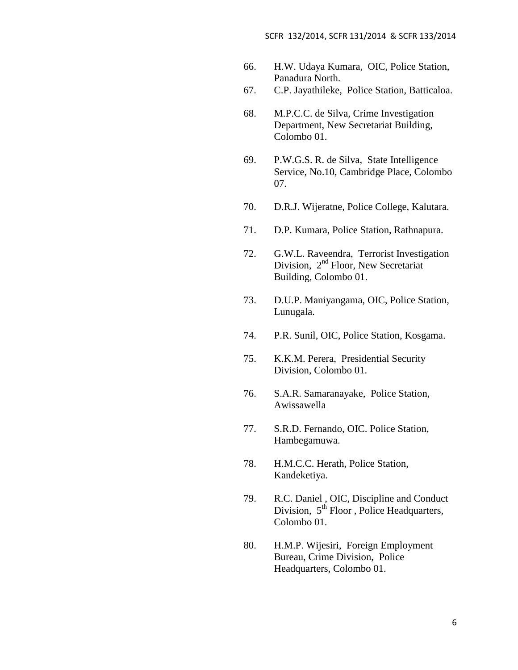- 66. H.W. Udaya Kumara, OIC, Police Station, Panadura North.
- 67. C.P. Jayathileke, Police Station, Batticaloa.
- 68. M.P.C.C. de Silva, Crime Investigation Department, New Secretariat Building, Colombo 01.
- 69. P.W.G.S. R. de Silva, State Intelligence Service, No.10, Cambridge Place, Colombo 07.
- 70. D.R.J. Wijeratne, Police College, Kalutara.
- 71. D.P. Kumara, Police Station, Rathnapura.
- 72. G.W.L. Raveendra, Terrorist Investigation Division,  $2<sup>nd</sup>$  Floor, New Secretariat Building, Colombo 01.
- 73. D.U.P. Maniyangama, OIC, Police Station, Lunugala.
- 74. P.R. Sunil, OIC, Police Station, Kosgama.
- 75. K.K.M. Perera, Presidential Security Division, Colombo 01.
- 76. S.A.R. Samaranayake, Police Station, Awissawella
- 77. S.R.D. Fernando, OIC. Police Station, Hambegamuwa.
- 78. H.M.C.C. Herath, Police Station, Kandeketiya.
- 79. R.C. Daniel , OIC, Discipline and Conduct Division,  $5<sup>th</sup>$  Floor, Police Headquarters, Colombo 01.
- 80. H.M.P. Wijesiri, Foreign Employment Bureau, Crime Division, Police Headquarters, Colombo 01.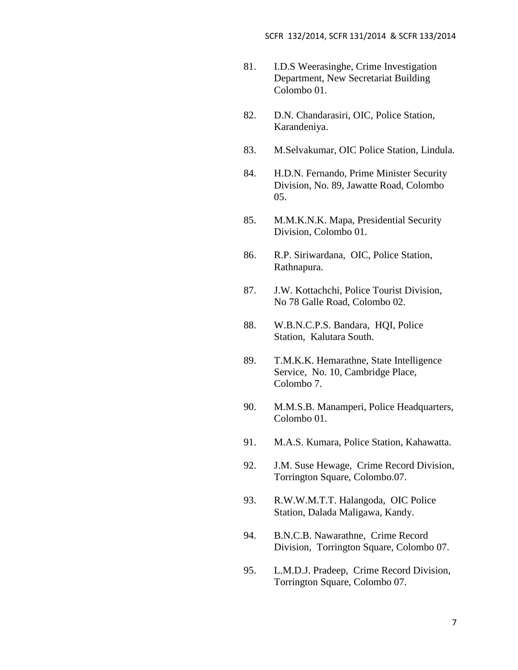- 81. I.D.S Weerasinghe, Crime Investigation Department, New Secretariat Building Colombo 01.
- 82. D.N. Chandarasiri, OIC, Police Station, Karandeniya.
- 83. M.Selvakumar, OIC Police Station, Lindula.
- 84. H.D.N. Fernando, Prime Minister Security Division, No. 89, Jawatte Road, Colombo 05.
- 85. M.M.K.N.K. Mapa, Presidential Security Division, Colombo 01.
- 86. R.P. Siriwardana, OIC, Police Station, Rathnapura.
- 87. J.W. Kottachchi, Police Tourist Division, No 78 Galle Road, Colombo 02.
- 88. W.B.N.C.P.S. Bandara, HQI, Police Station, Kalutara South.
- 89. T.M.K.K. Hemarathne, State Intelligence Service, No. 10, Cambridge Place, Colombo 7.
- 90. M.M.S.B. Manamperi, Police Headquarters, Colombo 01.
- 91. M.A.S. Kumara, Police Station, Kahawatta.
- 92. J.M. Suse Hewage, Crime Record Division, Torrington Square, Colombo.07.
- 93. R.W.W.M.T.T. Halangoda, OIC Police Station, Dalada Maligawa, Kandy.
- 94. B.N.C.B. Nawarathne, Crime Record Division, Torrington Square, Colombo 07.
- 95. L.M.D.J. Pradeep, Crime Record Division, Torrington Square, Colombo 07.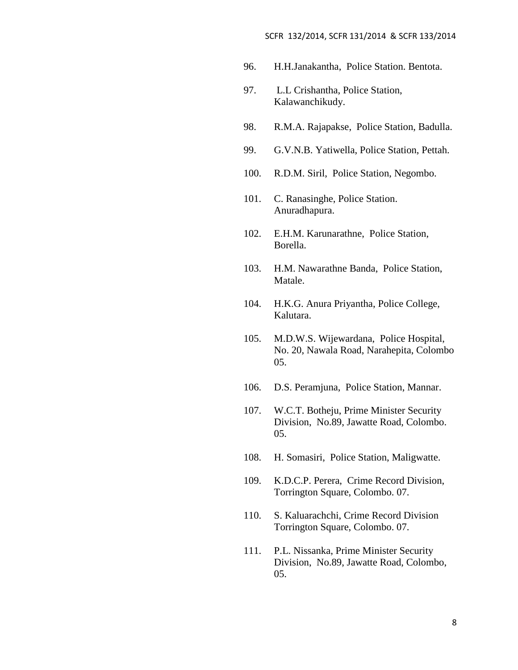#### SCFR 132/2014, SCFR 131/2014 & SCFR 133/2014

- 96. H.H.Janakantha, Police Station. Bentota.
- 97. L.L Crishantha, Police Station, Kalawanchikudy.
- 98. R.M.A. Rajapakse, Police Station, Badulla.
- 99. G.V.N.B. Yatiwella, Police Station, Pettah.
- 100. R.D.M. Siril, Police Station, Negombo.
- 101. C. Ranasinghe, Police Station. Anuradhapura.
- 102. E.H.M. Karunarathne, Police Station, Borella.
- 103. H.M. Nawarathne Banda, Police Station, Matale.
- 104. H.K.G. Anura Priyantha, Police College, Kalutara.
- 105. M.D.W.S. Wijewardana, Police Hospital, No. 20, Nawala Road, Narahepita, Colombo 05.
- 106. D.S. Peramjuna, Police Station, Mannar.
- 107. W.C.T. Botheju, Prime Minister Security Division, No.89, Jawatte Road, Colombo. 05.
- 108. H. Somasiri, Police Station, Maligwatte.
- 109. K.D.C.P. Perera, Crime Record Division, Torrington Square, Colombo. 07.
- 110. S. Kaluarachchi, Crime Record Division Torrington Square, Colombo. 07.
- 111. P.L. Nissanka, Prime Minister Security Division, No.89, Jawatte Road, Colombo, 05.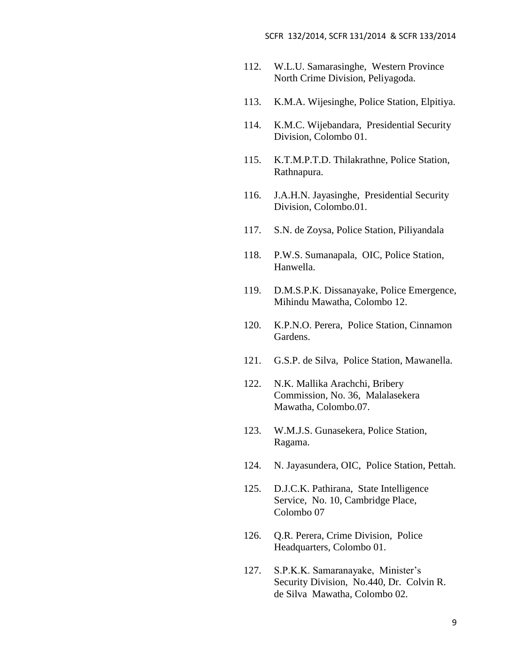- 112. W.L.U. Samarasinghe, Western Province North Crime Division, Peliyagoda.
- 113. K.M.A. Wijesinghe, Police Station, Elpitiya.
- 114. K.M.C. Wijebandara, Presidential Security Division, Colombo 01.
- 115. K.T.M.P.T.D. Thilakrathne, Police Station, Rathnapura.
- 116. J.A.H.N. Jayasinghe, Presidential Security Division, Colombo.01.
- 117. S.N. de Zoysa, Police Station, Piliyandala
- 118. P.W.S. Sumanapala, OIC, Police Station, Hanwella.
- 119. D.M.S.P.K. Dissanayake, Police Emergence, Mihindu Mawatha, Colombo 12.
- 120. K.P.N.O. Perera, Police Station, Cinnamon Gardens.
- 121. G.S.P. de Silva, Police Station, Mawanella.
- 122. N.K. Mallika Arachchi, Bribery Commission, No. 36, Malalasekera Mawatha, Colombo.07.
- 123. W.M.J.S. Gunasekera, Police Station, Ragama.
- 124. N. Jayasundera, OIC, Police Station, Pettah.
- 125. D.J.C.K. Pathirana, State Intelligence Service, No. 10, Cambridge Place, Colombo 07
- 126. Q.R. Perera, Crime Division, Police Headquarters, Colombo 01.
- 127. S.P.K.K. Samaranayake, Minister's Security Division, No.440, Dr. Colvin R. de Silva Mawatha, Colombo 02.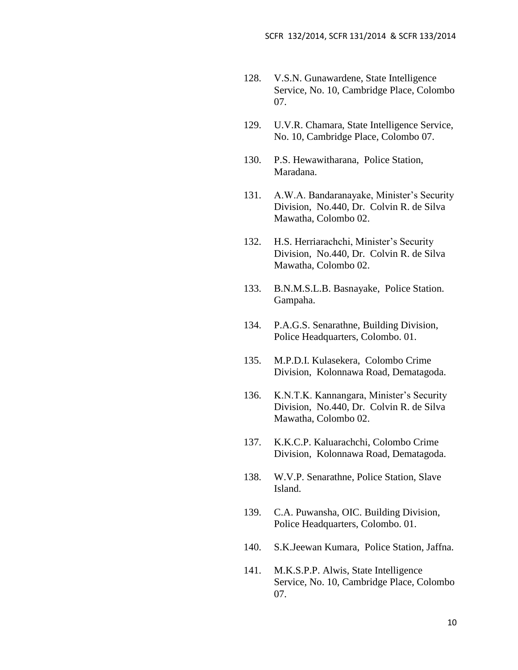- 128. V.S.N. Gunawardene, State Intelligence Service, No. 10, Cambridge Place, Colombo 07.
- 129. U.V.R. Chamara, State Intelligence Service, No. 10, Cambridge Place, Colombo 07.
- 130. P.S. Hewawitharana, Police Station, Maradana.
- 131. A.W.A. Bandaranayake, Minister's Security Division, No.440, Dr. Colvin R. de Silva Mawatha, Colombo 02.
- 132. H.S. Herriarachchi, Minister's Security Division, No.440, Dr. Colvin R. de Silva Mawatha, Colombo 02.
- 133. B.N.M.S.L.B. Basnayake, Police Station. Gampaha.
- 134. P.A.G.S. Senarathne, Building Division, Police Headquarters, Colombo. 01.
- 135. M.P.D.I. Kulasekera, Colombo Crime Division, Kolonnawa Road, Dematagoda.
- 136. K.N.T.K. Kannangara, Minister's Security Division, No.440, Dr. Colvin R. de Silva Mawatha, Colombo 02.
- 137. K.K.C.P. Kaluarachchi, Colombo Crime Division, Kolonnawa Road, Dematagoda.
- 138. W.V.P. Senarathne, Police Station, Slave Island.
- 139. C.A. Puwansha, OIC. Building Division, Police Headquarters, Colombo. 01.
- 140. S.K.Jeewan Kumara, Police Station, Jaffna.
- 141. M.K.S.P.P. Alwis, State Intelligence Service, No. 10, Cambridge Place, Colombo 07.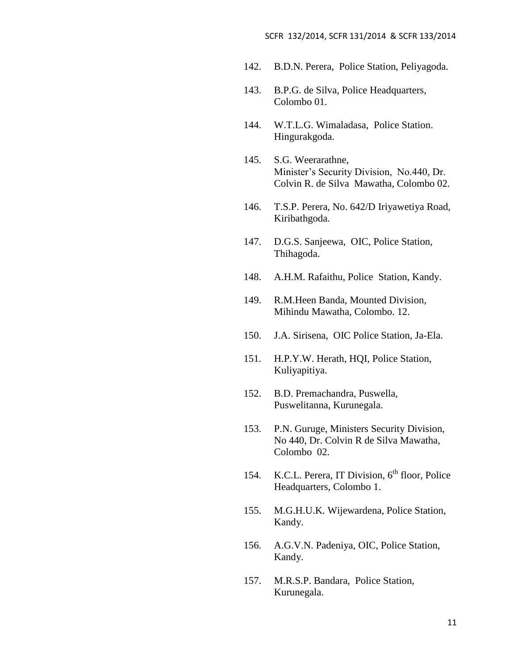- 142. B.D.N. Perera, Police Station, Peliyagoda.
- 143. B.P.G. de Silva, Police Headquarters, Colombo 01.
- 144. W.T.L.G. Wimaladasa, Police Station. Hingurakgoda.
- 145. S.G. Weerarathne, Minister's Security Division, No.440, Dr. Colvin R. de Silva Mawatha, Colombo 02.
- 146. T.S.P. Perera, No. 642/D Iriyawetiya Road, Kiribathgoda.
- 147. D.G.S. Sanjeewa, OIC, Police Station, Thihagoda.
- 148. A.H.M. Rafaithu, Police Station, Kandy.
- 149. R.M.Heen Banda, Mounted Division, Mihindu Mawatha, Colombo. 12.
- 150. J.A. Sirisena, OIC Police Station, Ja-Ela.
- 151. H.P.Y.W. Herath, HQI, Police Station, Kuliyapitiya.
- 152. B.D. Premachandra, Puswella, Puswelitanna, Kurunegala.
- 153. P.N. Guruge, Ministers Security Division, No 440, Dr. Colvin R de Silva Mawatha, Colombo 02.
- 154. K.C.L. Perera, IT Division,  $6<sup>th</sup>$  floor, Police Headquarters, Colombo 1.
- 155. M.G.H.U.K. Wijewardena, Police Station, Kandy.
- 156. A.G.V.N. Padeniya, OIC, Police Station, Kandy.
- 157. M.R.S.P. Bandara, Police Station, Kurunegala.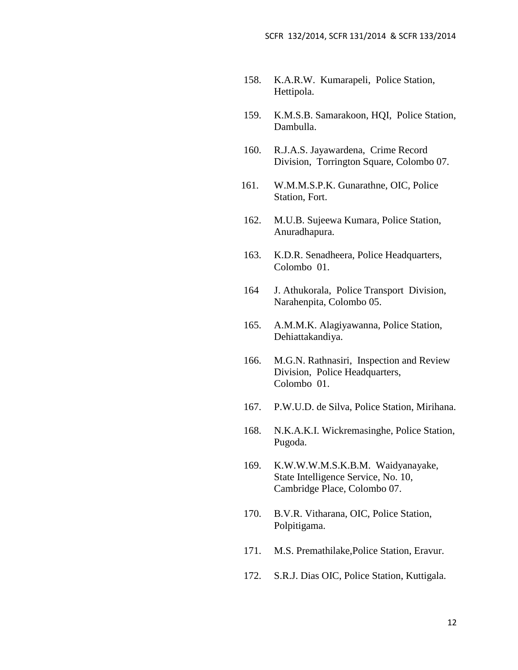- 158. K.A.R.W. Kumarapeli, Police Station, Hettipola.
- 159. K.M.S.B. Samarakoon, HQI, Police Station, Dambulla.
- 160. R.J.A.S. Jayawardena, Crime Record Division, Torrington Square, Colombo 07.
- 161. W.M.M.S.P.K. Gunarathne, OIC, Police Station, Fort.
- 162. M.U.B. Sujeewa Kumara, Police Station, Anuradhapura.
- 163. K.D.R. Senadheera, Police Headquarters, Colombo 01.
- 164 J. Athukorala, Police Transport Division, Narahenpita, Colombo 05.
- 165. A.M.M.K. Alagiyawanna, Police Station, Dehiattakandiya.
- 166. M.G.N. Rathnasiri, Inspection and Review Division, Police Headquarters, Colombo 01.
- 167. P.W.U.D. de Silva, Police Station, Mirihana.
- 168. N.K.A.K.I. Wickremasinghe, Police Station, Pugoda.
- 169. K.W.W.W.M.S.K.B.M. Waidyanayake, State Intelligence Service, No. 10, Cambridge Place, Colombo 07.
- 170. B.V.R. Vitharana, OIC, Police Station, Polpitigama.
- 171. M.S. Premathilake,Police Station, Eravur.
- 172. S.R.J. Dias OIC, Police Station, Kuttigala.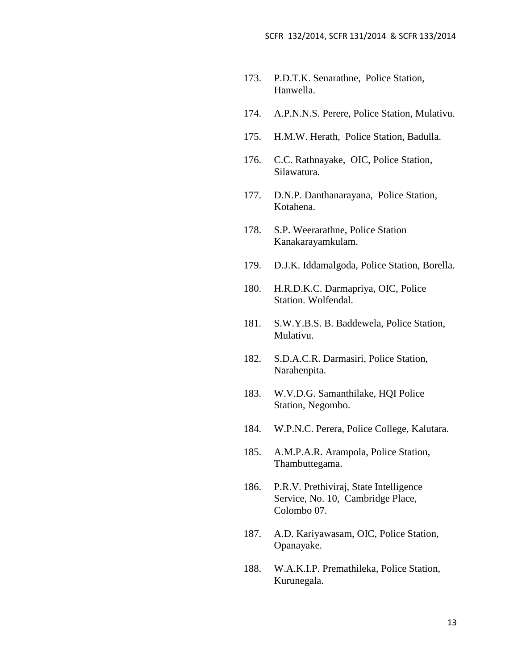- 173. P.D.T.K. Senarathne, Police Station, Hanwella.
- 174. A.P.N.N.S. Perere, Police Station, Mulativu.
- 175. H.M.W. Herath, Police Station, Badulla.
- 176. C.C. Rathnayake, OIC, Police Station, Silawatura.
- 177. D.N.P. Danthanarayana, Police Station, Kotahena.
- 178. S.P. Weerarathne, Police Station Kanakarayamkulam.
- 179. D.J.K. Iddamalgoda, Police Station, Borella.
- 180. H.R.D.K.C. Darmapriya, OIC, Police Station. Wolfendal.
- 181. S.W.Y.B.S. B. Baddewela, Police Station, Mulativu.
- 182. S.D.A.C.R. Darmasiri, Police Station, Narahenpita.
- 183. W.V.D.G. Samanthilake, HQI Police Station, Negombo.
- 184. W.P.N.C. Perera, Police College, Kalutara.
- 185. A.M.P.A.R. Arampola, Police Station, Thambuttegama.
- 186. P.R.V. Prethiviraj, State Intelligence Service, No. 10, Cambridge Place, Colombo 07.
- 187. A.D. Kariyawasam, OIC, Police Station, Opanayake.
- 188. W.A.K.I.P. Premathileka, Police Station, Kurunegala.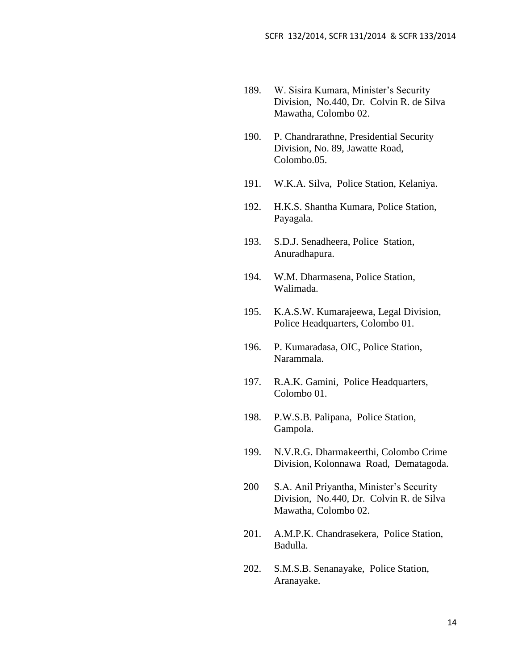- 189. W. Sisira Kumara, Minister's Security Division, No.440, Dr. Colvin R. de Silva Mawatha, Colombo 02.
- 190. P. Chandrarathne, Presidential Security Division, No. 89, Jawatte Road, Colombo.05.
- 191. W.K.A. Silva, Police Station, Kelaniya.
- 192. H.K.S. Shantha Kumara, Police Station, Payagala.
- 193. S.D.J. Senadheera, Police Station, Anuradhapura.
- 194. W.M. Dharmasena, Police Station, Walimada.
- 195. K.A.S.W. Kumarajeewa, Legal Division, Police Headquarters, Colombo 01.
- 196. P. Kumaradasa, OIC, Police Station, Narammala.
- 197. R.A.K. Gamini, Police Headquarters, Colombo 01.
- 198. P.W.S.B. Palipana, Police Station, Gampola.
- 199. N.V.R.G. Dharmakeerthi, Colombo Crime Division, Kolonnawa Road, Dematagoda.
- 200 S.A. Anil Priyantha, Minister's Security Division, No.440, Dr. Colvin R. de Silva Mawatha, Colombo 02.
- 201. A.M.P.K. Chandrasekera, Police Station, Badulla.
- 202. S.M.S.B. Senanayake, Police Station, Aranayake.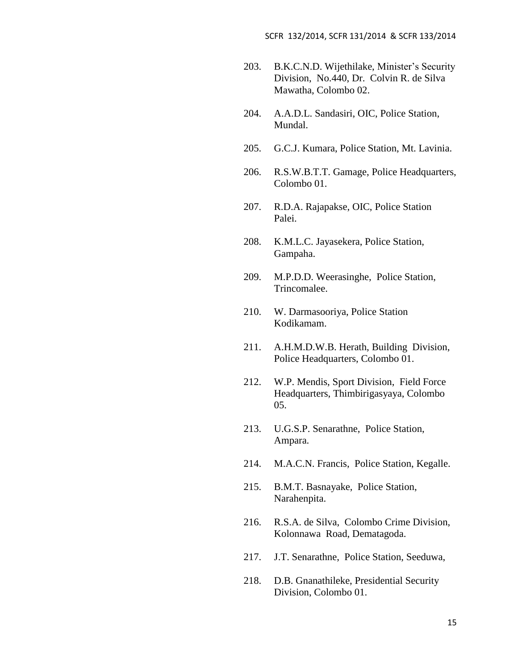- 203. B.K.C.N.D. Wijethilake, Minister's Security Division, No.440, Dr. Colvin R. de Silva Mawatha, Colombo 02.
- 204. A.A.D.L. Sandasiri, OIC, Police Station, Mundal.
- 205. G.C.J. Kumara, Police Station, Mt. Lavinia.
- 206. R.S.W.B.T.T. Gamage, Police Headquarters, Colombo 01.
- 207. R.D.A. Rajapakse, OIC, Police Station Palei.
- 208. K.M.L.C. Jayasekera, Police Station, Gampaha.
- 209. M.P.D.D. Weerasinghe, Police Station, Trincomalee.
- 210. W. Darmasooriya, Police Station Kodikamam.
- 211. A.H.M.D.W.B. Herath, Building Division, Police Headquarters, Colombo 01.
- 212. W.P. Mendis, Sport Division, Field Force Headquarters, Thimbirigasyaya, Colombo 05.
- 213. U.G.S.P. Senarathne, Police Station, Ampara.
- 214. M.A.C.N. Francis, Police Station, Kegalle.
- 215. B.M.T. Basnayake, Police Station, Narahenpita.
- 216. R.S.A. de Silva, Colombo Crime Division, Kolonnawa Road, Dematagoda.
- 217. J.T. Senarathne, Police Station, Seeduwa,
- 218. D.B. Gnanathileke, Presidential Security Division, Colombo 01.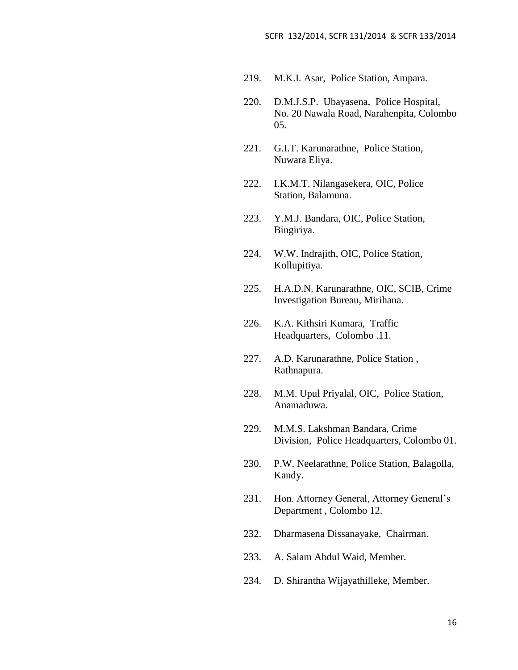- 219. M.K.I. Asar, Police Station, Ampara.
- 220. D.M.J.S.P. Ubayasena, Police Hospital, No. 20 Nawala Road, Narahenpita, Colombo 05.
- 221. G.I.T. Karunarathne, Police Station, Nuwara Eliya.
- 222. I.K.M.T. Nilangasekera, OIC, Police Station, Balamuna.
- 223. Y.M.J. Bandara, OIC, Police Station, Bingiriya.
- 224. W.W. Indrajith, OIC, Police Station, Kollupitiya.
- 225. H.A.D.N. Karunarathne, OIC, SCIB, Crime Investigation Bureau, Mirihana.
- 226. K.A. Kithsiri Kumara, Traffic Headquarters, Colombo .11.
- 227. A.D. Karunarathne, Police Station , Rathnapura.
- 228. M.M. Upul Priyalal, OIC, Police Station, Anamaduwa.
- 229. M.M.S. Lakshman Bandara, Crime Division, Police Headquarters, Colombo 01.
- 230. P.W. Neelarathne, Police Station, Balagolla, Kandy.
- 231. Hon. Attorney General, Attorney General's Department , Colombo 12.
- 232. Dharmasena Dissanayake, Chairman.
- 233. A. Salam Abdul Waid, Member.
- 234. D. Shirantha Wijayathilleke, Member.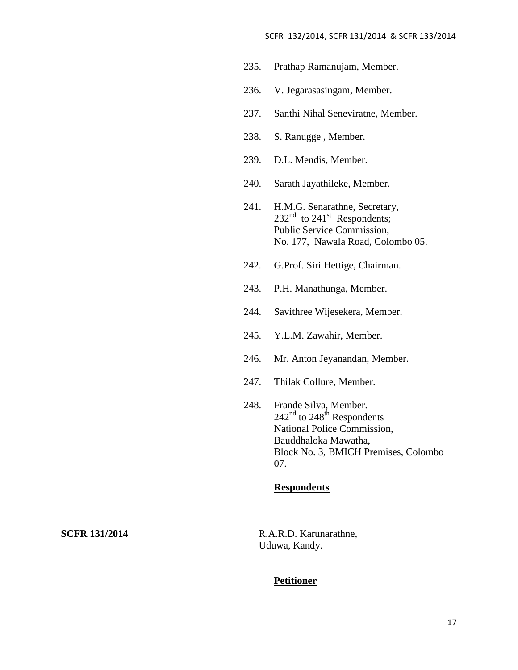#### SCFR 132/2014, SCFR 131/2014 & SCFR 133/2014

- 235. Prathap Ramanujam, Member.
- 236. V. Jegarasasingam, Member.
- 237. Santhi Nihal Seneviratne, Member.
- 238. S. Ranugge , Member.
- 239. D.L. Mendis, Member.
- 240. Sarath Jayathileke, Member.
- 241. H.M.G. Senarathne, Secretary,  $232<sup>nd</sup>$  to  $241<sup>st</sup>$  Respondents; Public Service Commission, No. 177, Nawala Road, Colombo 05.
- 242. G.Prof. Siri Hettige, Chairman.
- 243. P.H. Manathunga, Member.
- 244. Savithree Wijesekera, Member.
- 245. Y.L.M. Zawahir, Member.
- 246. Mr. Anton Jeyanandan, Member.
- 247. Thilak Collure, Member.
- 248. Frande Silva, Member.  $242<sup>nd</sup>$  to  $248<sup>th</sup>$  Respondents National Police Commission, Bauddhaloka Mawatha, Block No. 3, BMICH Premises, Colombo 07.

## **Respondents**

**SCFR 131/2014** R.A.R.D. Karunarathne, Uduwa, Kandy.

#### **Petitioner**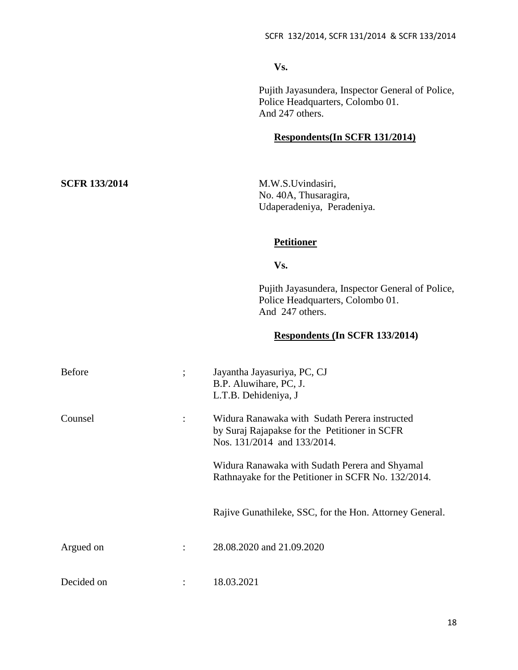**Vs.**

Pujith Jayasundera, Inspector General of Police, Police Headquarters, Colombo 01. And 247 others.

# **Respondents(In SCFR 131/2014)**

**SCFR 133/2014** M.W.S.Uvindasiri, No. 40A, Thusaragira, Udaperadeniya, Peradeniya.

# **Petitioner**

**Vs.**

Pujith Jayasundera, Inspector General of Police, Police Headquarters, Colombo 01. And 247 others.

# **Respondents (In SCFR 133/2014)**

| <b>Before</b> | $\vdots$       | Jayantha Jayasuriya, PC, CJ<br>B.P. Aluwihare, PC, J.<br>L.T.B. Dehideniya, J                                                 |
|---------------|----------------|-------------------------------------------------------------------------------------------------------------------------------|
| Counsel       | $\ddot{\cdot}$ | Widura Ranawaka with Sudath Perera instructed<br>by Suraj Rajapakse for the Petitioner in SCFR<br>Nos. 131/2014 and 133/2014. |
|               |                | Widura Ranawaka with Sudath Perera and Shyamal<br>Rathnayake for the Petitioner in SCFR No. 132/2014.                         |
|               |                | Rajive Gunathileke, SSC, for the Hon. Attorney General.                                                                       |
| Argued on     | ٠              | 28.08.2020 and 21.09.2020                                                                                                     |
| Decided on    |                | 18.03.2021                                                                                                                    |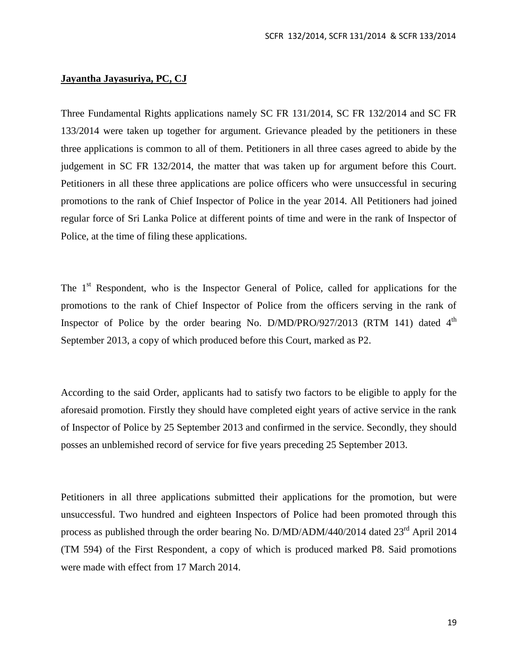## **Jayantha Jayasuriya, PC, CJ**

Three Fundamental Rights applications namely SC FR 131/2014, SC FR 132/2014 and SC FR 133/2014 were taken up together for argument. Grievance pleaded by the petitioners in these three applications is common to all of them. Petitioners in all three cases agreed to abide by the judgement in SC FR 132/2014, the matter that was taken up for argument before this Court. Petitioners in all these three applications are police officers who were unsuccessful in securing promotions to the rank of Chief Inspector of Police in the year 2014. All Petitioners had joined regular force of Sri Lanka Police at different points of time and were in the rank of Inspector of Police, at the time of filing these applications.

The  $1<sup>st</sup>$  Respondent, who is the Inspector General of Police, called for applications for the promotions to the rank of Chief Inspector of Police from the officers serving in the rank of Inspector of Police by the order bearing No. D/MD/PRO/927/2013 (RTM 141) dated  $4<sup>th</sup>$ September 2013, a copy of which produced before this Court, marked as P2.

According to the said Order, applicants had to satisfy two factors to be eligible to apply for the aforesaid promotion. Firstly they should have completed eight years of active service in the rank of Inspector of Police by 25 September 2013 and confirmed in the service. Secondly, they should posses an unblemished record of service for five years preceding 25 September 2013.

Petitioners in all three applications submitted their applications for the promotion, but were unsuccessful. Two hundred and eighteen Inspectors of Police had been promoted through this process as published through the order bearing No.  $D/MD/ADM/440/2014$  dated  $23<sup>rd</sup>$  April 2014 (TM 594) of the First Respondent, a copy of which is produced marked P8. Said promotions were made with effect from 17 March 2014.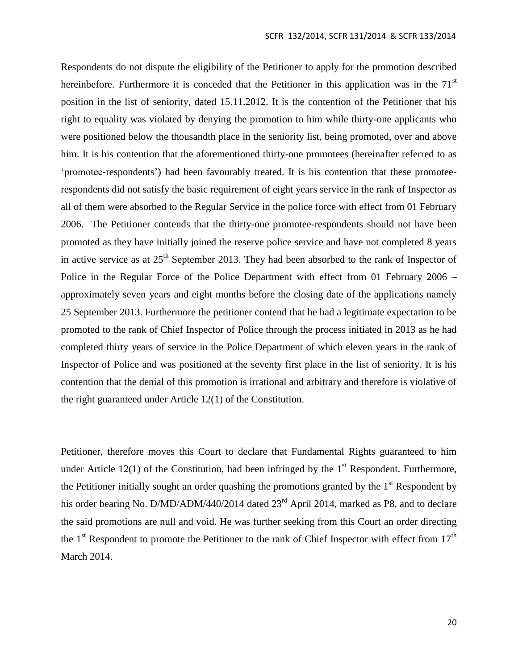Respondents do not dispute the eligibility of the Petitioner to apply for the promotion described hereinbefore. Furthermore it is conceded that the Petitioner in this application was in the  $71<sup>st</sup>$ position in the list of seniority, dated 15.11.2012. It is the contention of the Petitioner that his right to equality was violated by denying the promotion to him while thirty-one applicants who were positioned below the thousandth place in the seniority list, being promoted, over and above him. It is his contention that the aforementioned thirty-one promotees (hereinafter referred to as 'promotee-respondents') had been favourably treated. It is his contention that these promoteerespondents did not satisfy the basic requirement of eight years service in the rank of Inspector as all of them were absorbed to the Regular Service in the police force with effect from 01 February 2006. The Petitioner contends that the thirty-one promotee-respondents should not have been promoted as they have initially joined the reserve police service and have not completed 8 years in active service as at  $25<sup>th</sup>$  September 2013. They had been absorbed to the rank of Inspector of Police in the Regular Force of the Police Department with effect from 01 February 2006 – approximately seven years and eight months before the closing date of the applications namely 25 September 2013. Furthermore the petitioner contend that he had a legitimate expectation to be promoted to the rank of Chief Inspector of Police through the process initiated in 2013 as he had completed thirty years of service in the Police Department of which eleven years in the rank of Inspector of Police and was positioned at the seventy first place in the list of seniority. It is his contention that the denial of this promotion is irrational and arbitrary and therefore is violative of the right guaranteed under Article 12(1) of the Constitution.

Petitioner, therefore moves this Court to declare that Fundamental Rights guaranteed to him under Article 12(1) of the Constitution, had been infringed by the  $1<sup>st</sup>$  Respondent. Furthermore, the Petitioner initially sought an order quashing the promotions granted by the  $1<sup>st</sup>$  Respondent by his order bearing No. D/MD/ADM/440/2014 dated 23<sup>rd</sup> April 2014, marked as P8, and to declare the said promotions are null and void. He was further seeking from this Court an order directing the  $1<sup>st</sup>$  Respondent to promote the Petitioner to the rank of Chief Inspector with effect from  $17<sup>th</sup>$ March 2014.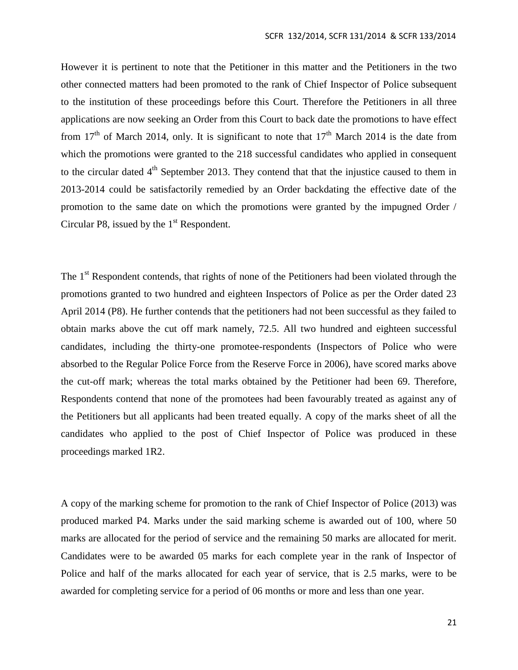However it is pertinent to note that the Petitioner in this matter and the Petitioners in the two other connected matters had been promoted to the rank of Chief Inspector of Police subsequent to the institution of these proceedings before this Court. Therefore the Petitioners in all three applications are now seeking an Order from this Court to back date the promotions to have effect from 17<sup>th</sup> of March 2014, only. It is significant to note that  $17<sup>th</sup>$  March 2014 is the date from which the promotions were granted to the 218 successful candidates who applied in consequent to the circular dated  $4<sup>th</sup>$  September 2013. They contend that that the injustice caused to them in 2013-2014 could be satisfactorily remedied by an Order backdating the effective date of the promotion to the same date on which the promotions were granted by the impugned Order / Circular P8, issued by the  $1<sup>st</sup>$  Respondent.

The 1<sup>st</sup> Respondent contends, that rights of none of the Petitioners had been violated through the promotions granted to two hundred and eighteen Inspectors of Police as per the Order dated 23 April 2014 (P8). He further contends that the petitioners had not been successful as they failed to obtain marks above the cut off mark namely, 72.5. All two hundred and eighteen successful candidates, including the thirty-one promotee-respondents (Inspectors of Police who were absorbed to the Regular Police Force from the Reserve Force in 2006), have scored marks above the cut-off mark; whereas the total marks obtained by the Petitioner had been 69. Therefore, Respondents contend that none of the promotees had been favourably treated as against any of the Petitioners but all applicants had been treated equally. A copy of the marks sheet of all the candidates who applied to the post of Chief Inspector of Police was produced in these proceedings marked 1R2.

A copy of the marking scheme for promotion to the rank of Chief Inspector of Police (2013) was produced marked P4. Marks under the said marking scheme is awarded out of 100, where 50 marks are allocated for the period of service and the remaining 50 marks are allocated for merit. Candidates were to be awarded 05 marks for each complete year in the rank of Inspector of Police and half of the marks allocated for each year of service, that is 2.5 marks, were to be awarded for completing service for a period of 06 months or more and less than one year.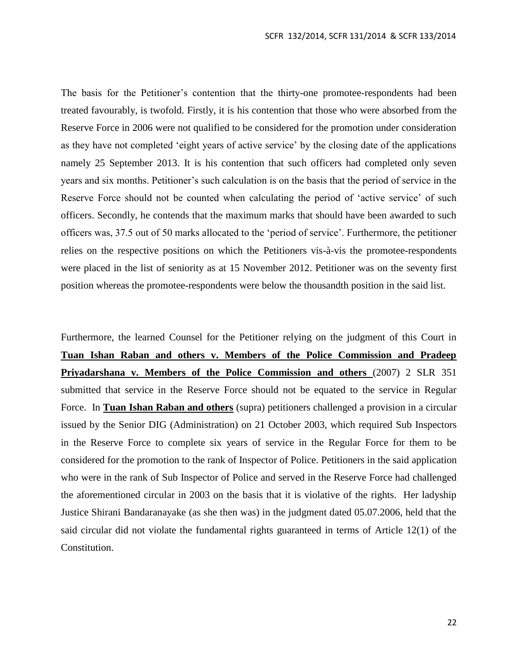The basis for the Petitioner's contention that the thirty-one promotee-respondents had been treated favourably, is twofold. Firstly, it is his contention that those who were absorbed from the Reserve Force in 2006 were not qualified to be considered for the promotion under consideration as they have not completed 'eight years of active service' by the closing date of the applications namely 25 September 2013. It is his contention that such officers had completed only seven years and six months. Petitioner's such calculation is on the basis that the period of service in the Reserve Force should not be counted when calculating the period of 'active service' of such officers. Secondly, he contends that the maximum marks that should have been awarded to such officers was, 37.5 out of 50 marks allocated to the 'period of service'. Furthermore, the petitioner relies on the respective positions on which the Petitioners vis-à-vis the promotee-respondents were placed in the list of seniority as at 15 November 2012. Petitioner was on the seventy first position whereas the promotee-respondents were below the thousandth position in the said list.

Furthermore, the learned Counsel for the Petitioner relying on the judgment of this Court in **Tuan Ishan Raban and others v. Members of the Police Commission and Pradeep Priyadarshana v. Members of the Police Commission and others** (2007) 2 SLR 351 submitted that service in the Reserve Force should not be equated to the service in Regular Force. In **Tuan Ishan Raban and others** (supra) petitioners challenged a provision in a circular issued by the Senior DIG (Administration) on 21 October 2003, which required Sub Inspectors in the Reserve Force to complete six years of service in the Regular Force for them to be considered for the promotion to the rank of Inspector of Police. Petitioners in the said application who were in the rank of Sub Inspector of Police and served in the Reserve Force had challenged the aforementioned circular in 2003 on the basis that it is violative of the rights. Her ladyship Justice Shirani Bandaranayake (as she then was) in the judgment dated 05.07.2006, held that the said circular did not violate the fundamental rights guaranteed in terms of Article 12(1) of the Constitution.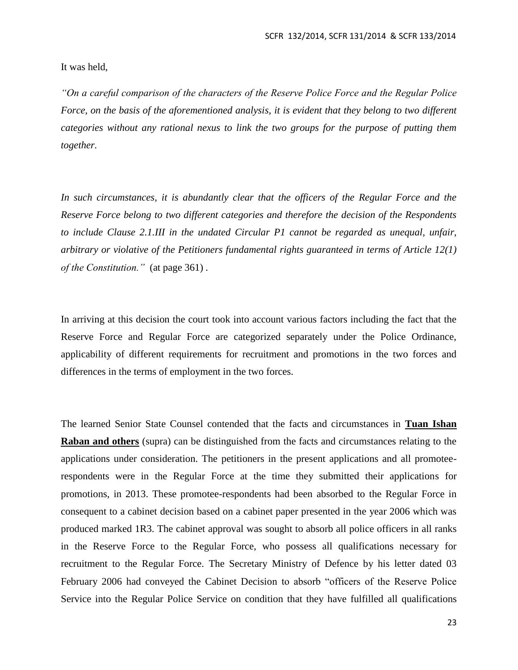It was held,

*"On a careful comparison of the characters of the Reserve Police Force and the Regular Police Force, on the basis of the aforementioned analysis, it is evident that they belong to two different categories without any rational nexus to link the two groups for the purpose of putting them together.*

*In such circumstances, it is abundantly clear that the officers of the Regular Force and the Reserve Force belong to two different categories and therefore the decision of the Respondents to include Clause 2.1.III in the undated Circular P1 cannot be regarded as unequal, unfair, arbitrary or violative of the Petitioners fundamental rights guaranteed in terms of Article 12(1) of the Constitution."* (at page 361) *.*

In arriving at this decision the court took into account various factors including the fact that the Reserve Force and Regular Force are categorized separately under the Police Ordinance, applicability of different requirements for recruitment and promotions in the two forces and differences in the terms of employment in the two forces.

The learned Senior State Counsel contended that the facts and circumstances in **Tuan Ishan Raban and others** (supra) can be distinguished from the facts and circumstances relating to the applications under consideration. The petitioners in the present applications and all promoteerespondents were in the Regular Force at the time they submitted their applications for promotions, in 2013. These promotee-respondents had been absorbed to the Regular Force in consequent to a cabinet decision based on a cabinet paper presented in the year 2006 which was produced marked 1R3. The cabinet approval was sought to absorb all police officers in all ranks in the Reserve Force to the Regular Force, who possess all qualifications necessary for recruitment to the Regular Force. The Secretary Ministry of Defence by his letter dated 03 February 2006 had conveyed the Cabinet Decision to absorb "officers of the Reserve Police Service into the Regular Police Service on condition that they have fulfilled all qualifications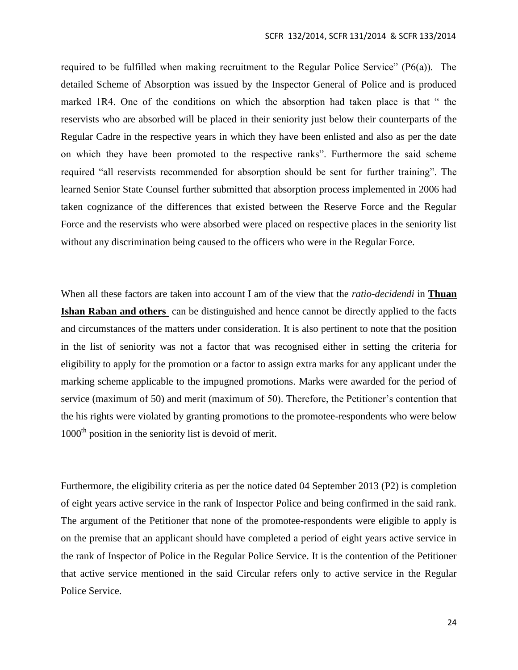required to be fulfilled when making recruitment to the Regular Police Service" (P6(a)). The detailed Scheme of Absorption was issued by the Inspector General of Police and is produced marked 1R4. One of the conditions on which the absorption had taken place is that " the reservists who are absorbed will be placed in their seniority just below their counterparts of the Regular Cadre in the respective years in which they have been enlisted and also as per the date on which they have been promoted to the respective ranks". Furthermore the said scheme required "all reservists recommended for absorption should be sent for further training". The learned Senior State Counsel further submitted that absorption process implemented in 2006 had taken cognizance of the differences that existed between the Reserve Force and the Regular Force and the reservists who were absorbed were placed on respective places in the seniority list without any discrimination being caused to the officers who were in the Regular Force.

When all these factors are taken into account I am of the view that the *ratio-decidendi* in **Thuan Ishan Raban and others** can be distinguished and hence cannot be directly applied to the facts and circumstances of the matters under consideration. It is also pertinent to note that the position in the list of seniority was not a factor that was recognised either in setting the criteria for eligibility to apply for the promotion or a factor to assign extra marks for any applicant under the marking scheme applicable to the impugned promotions. Marks were awarded for the period of service (maximum of 50) and merit (maximum of 50). Therefore, the Petitioner's contention that the his rights were violated by granting promotions to the promotee-respondents who were below  $1000<sup>th</sup>$  position in the seniority list is devoid of merit.

Furthermore, the eligibility criteria as per the notice dated 04 September 2013 (P2) is completion of eight years active service in the rank of Inspector Police and being confirmed in the said rank. The argument of the Petitioner that none of the promotee-respondents were eligible to apply is on the premise that an applicant should have completed a period of eight years active service in the rank of Inspector of Police in the Regular Police Service. It is the contention of the Petitioner that active service mentioned in the said Circular refers only to active service in the Regular Police Service.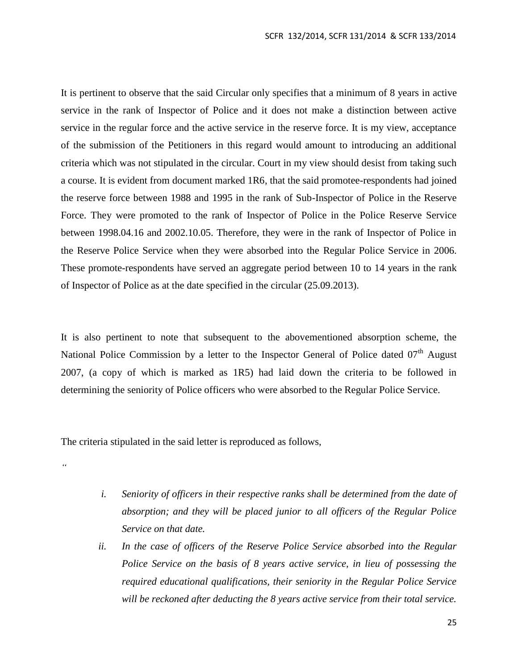It is pertinent to observe that the said Circular only specifies that a minimum of 8 years in active service in the rank of Inspector of Police and it does not make a distinction between active service in the regular force and the active service in the reserve force. It is my view, acceptance of the submission of the Petitioners in this regard would amount to introducing an additional criteria which was not stipulated in the circular. Court in my view should desist from taking such a course. It is evident from document marked 1R6, that the said promotee-respondents had joined the reserve force between 1988 and 1995 in the rank of Sub-Inspector of Police in the Reserve Force. They were promoted to the rank of Inspector of Police in the Police Reserve Service between 1998.04.16 and 2002.10.05. Therefore, they were in the rank of Inspector of Police in the Reserve Police Service when they were absorbed into the Regular Police Service in 2006. These promote-respondents have served an aggregate period between 10 to 14 years in the rank of Inspector of Police as at the date specified in the circular (25.09.2013).

It is also pertinent to note that subsequent to the abovementioned absorption scheme, the National Police Commission by a letter to the Inspector General of Police dated  $07<sup>th</sup>$  August 2007, (a copy of which is marked as 1R5) had laid down the criteria to be followed in determining the seniority of Police officers who were absorbed to the Regular Police Service.

The criteria stipulated in the said letter is reproduced as follows,

*"*

- *i. Seniority of officers in their respective ranks shall be determined from the date of absorption; and they will be placed junior to all officers of the Regular Police Service on that date.*
- *ii. In the case of officers of the Reserve Police Service absorbed into the Regular Police Service on the basis of 8 years active service, in lieu of possessing the required educational qualifications, their seniority in the Regular Police Service will be reckoned after deducting the 8 years active service from their total service.*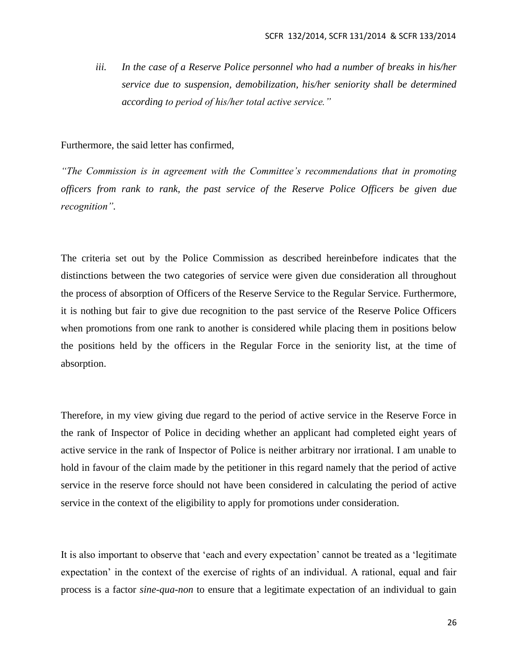*iii. In the case of a Reserve Police personnel who had a number of breaks in his/her service due to suspension, demobilization, his/her seniority shall be determined according to period of his/her total active service."*

Furthermore, the said letter has confirmed,

*"The Commission is in agreement with the Committee's recommendations that in promoting officers from rank to rank, the past service of the Reserve Police Officers be given due recognition".*

The criteria set out by the Police Commission as described hereinbefore indicates that the distinctions between the two categories of service were given due consideration all throughout the process of absorption of Officers of the Reserve Service to the Regular Service. Furthermore, it is nothing but fair to give due recognition to the past service of the Reserve Police Officers when promotions from one rank to another is considered while placing them in positions below the positions held by the officers in the Regular Force in the seniority list, at the time of absorption.

Therefore, in my view giving due regard to the period of active service in the Reserve Force in the rank of Inspector of Police in deciding whether an applicant had completed eight years of active service in the rank of Inspector of Police is neither arbitrary nor irrational. I am unable to hold in favour of the claim made by the petitioner in this regard namely that the period of active service in the reserve force should not have been considered in calculating the period of active service in the context of the eligibility to apply for promotions under consideration.

It is also important to observe that 'each and every expectation' cannot be treated as a 'legitimate expectation' in the context of the exercise of rights of an individual. A rational, equal and fair process is a factor *sine-qua-non* to ensure that a legitimate expectation of an individual to gain